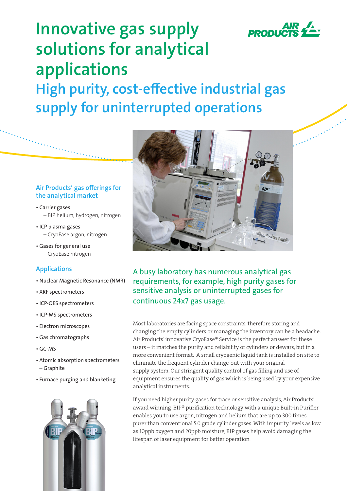

# **Innovative gas supply solutions for analytical applications High purity, cost-effective industrial gas supply for uninterrupted operations**

## **Air Products' gas offerings for the analytical market**

- Carrier gases – BIP helium, hydrogen, nitrogen
- ICP plasma gases – CryoEase argon, nitrogen
- Gases for general use – CryoEase nitrogen

## **Applications**

- Nuclear Magnetic Resonance (NMR)
- XRF spectrometers
- ICP-OES spectrometers
- ICP-MS spectrometers
- Electron microscopes
- Gas chromatographs
- GC-MS
- Atomic absorption spectrometers – Graphite
- Furnace purging and blanketing





A busy laboratory has numerous analytical gas requirements, for example, high purity gases for sensitive analysis or uninterrupted gases for continuous 24x7 gas usage.

Most laboratories are facing space constraints, therefore storing and changing the empty cylinders or managing the inventory can be a headache. Air Products' innovative CryoEase® Service is the perfect answer for these users – it matches the purity and reliability of cylinders or dewars, but in a more convenient format. A small cryogenic liquid tank is installed on site to eliminate the frequent cylinder change-out with your original supply system. Our stringent quality control of gas filling and use of equipment ensures the quality of gas which is being used by your expensive analytical instruments.

If you need higher purity gases for trace or sensitive analysis, Air Products' award winning BIP® purification technology with a unique Built-in Purifier enables you to use argon, nitrogen and helium that are up to 300 times purer than conventional 5.0 grade cylinder gases. With impurity levels as low as 10ppb oxygen and 20ppb moisture, BIP gases help avoid damaging the lifespan of laser equipment for better operation.